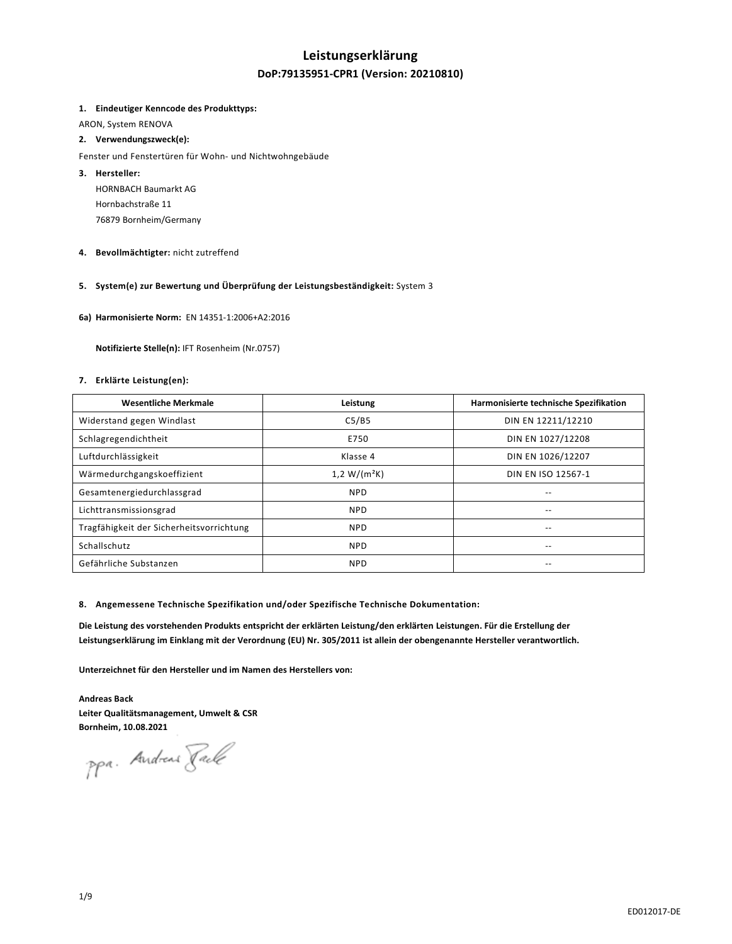## **Leistungserklärung**

## **DoP:79135951-CPR1 (Version: 20210810)**

### **1. Eindeutiger Kenncode des Produkttyps:**

ARON, System RENOVA

## **2. Verwendungszweck(e):**

#### Fenster und Fenstertüren für Wohn- und Nichtwohngebäude

- **3. Hersteller:**  HORNBACH Baumarkt AG Hornbachstraße 11 76879 Bornheim/Germany
- **4. Bevollmächtigter:** nicht zutreffend

## **5. System(e) zur Bewertung und Überprüfung der Leistungsbeständigkeit:** System 3

**6a) Harmonisierte Norm:** EN 14351-1:2006+A2:2016

 **Notifizierte Stelle(n):** IFT Rosenheim (Nr.0757)

## **7. Erklärte Leistung(en):**

| <b>Wesentliche Merkmale</b>              | Leistung       | Harmonisierte technische Spezifikation |
|------------------------------------------|----------------|----------------------------------------|
| Widerstand gegen Windlast                | C5/B5          | DIN EN 12211/12210                     |
| Schlagregendichtheit                     | E750           | DIN EN 1027/12208                      |
| Luftdurchlässigkeit                      | Klasse 4       | DIN EN 1026/12207                      |
| Wärmedurchgangskoeffizient               | $1,2 W/(m^2K)$ | DIN EN ISO 12567-1                     |
| Gesamtenergiedurchlassgrad               | <b>NPD</b>     | --                                     |
| Lichttransmissionsgrad                   | <b>NPD</b>     | --                                     |
| Tragfähigkeit der Sicherheitsvorrichtung | <b>NPD</b>     | $\qquad \qquad -$                      |
| Schallschutz                             | <b>NPD</b>     | $- -$                                  |
| Gefährliche Substanzen                   | <b>NPD</b>     | --                                     |

### **8. Angemessene Technische Spezifikation und/oder Spezifische Technische Dokumentation:**

**Die Leistung des vorstehenden Produkts entspricht der erklärten Leistung/den erklärten Leistungen. Für die Erstellung der Leistungserklärung im Einklang mit der Verordnung (EU) Nr. 305/2011 ist allein der obengenannte Hersteller verantwortlich.** 

**Unterzeichnet für den Hersteller und im Namen des Herstellers von:** 

**Andreas Back Leiter Qualitätsmanagement, Umwelt & CSR Bornheim, 10.08.2021** 

ppa. Andreas Pack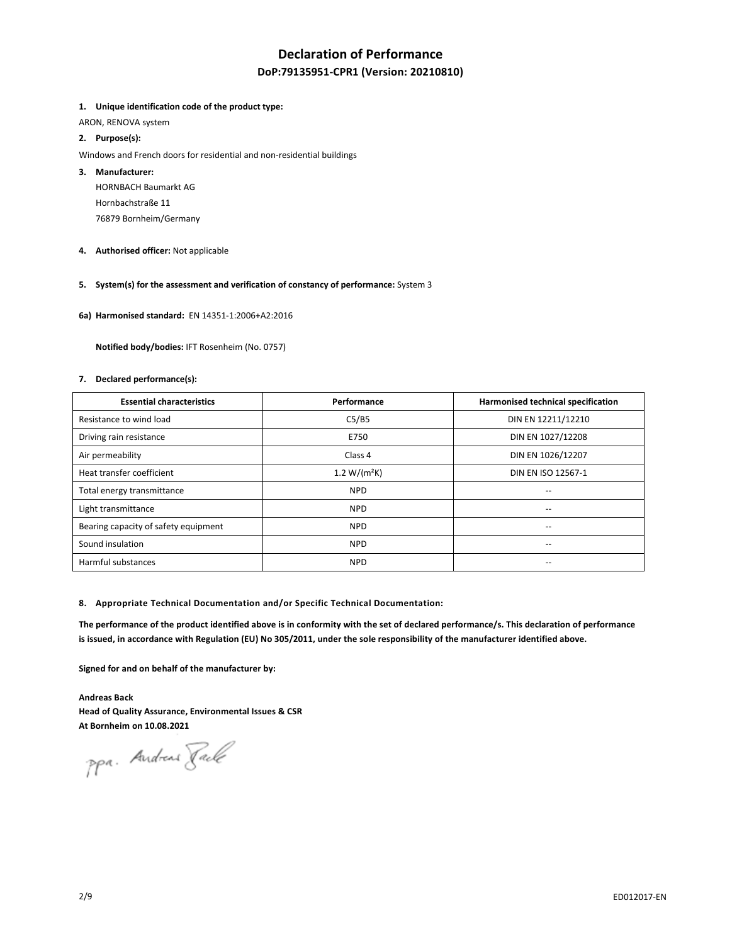# **Declaration of Performance**

## **DoP:79135951-CPR1 (Version: 20210810)**

### **1. Unique identification code of the product type:**

ARON, RENOVA system

## **2. Purpose(s):**

Windows and French doors for residential and non-residential buildings

## **3. Manufacturer:**

HORNBACH Baumarkt AG Hornbachstraße 11 76879 Bornheim/Germany

**4. Authorised officer:** Not applicable

## **5. System(s) for the assessment and verification of constancy of performance:** System 3

**6a) Harmonised standard:** EN 14351-1:2006+A2:2016

 **Notified body/bodies:** IFT Rosenheim (No. 0757)

### **7. Declared performance(s):**

| <b>Essential characteristics</b>     | Performance      | Harmonised technical specification    |
|--------------------------------------|------------------|---------------------------------------|
| Resistance to wind load              | C5/B5            | DIN EN 12211/12210                    |
| Driving rain resistance              | E750             | DIN EN 1027/12208                     |
| Air permeability                     | Class 4          | DIN EN 1026/12207                     |
| Heat transfer coefficient            | 1.2 W/( $m^2K$ ) | DIN EN ISO 12567-1                    |
| Total energy transmittance           | <b>NPD</b>       | $-$                                   |
| Light transmittance                  | <b>NPD</b>       |                                       |
| Bearing capacity of safety equipment | <b>NPD</b>       | $\hspace{0.05cm}$ – $\hspace{0.05cm}$ |
| Sound insulation                     | <b>NPD</b>       | $\overline{\phantom{a}}$              |
| Harmful substances                   | <b>NPD</b>       | $\overline{\phantom{a}}$              |

#### **8. Appropriate Technical Documentation and/or Specific Technical Documentation:**

**The performance of the product identified above is in conformity with the set of declared performance/s. This declaration of performance is issued, in accordance with Regulation (EU) No 305/2011, under the sole responsibility of the manufacturer identified above.** 

**Signed for and on behalf of the manufacturer by:** 

**Andreas Back Head of Quality Assurance, Environmental Issues & CSR At Bornheim on 10.08.2021** 

ppa. Andreas Fack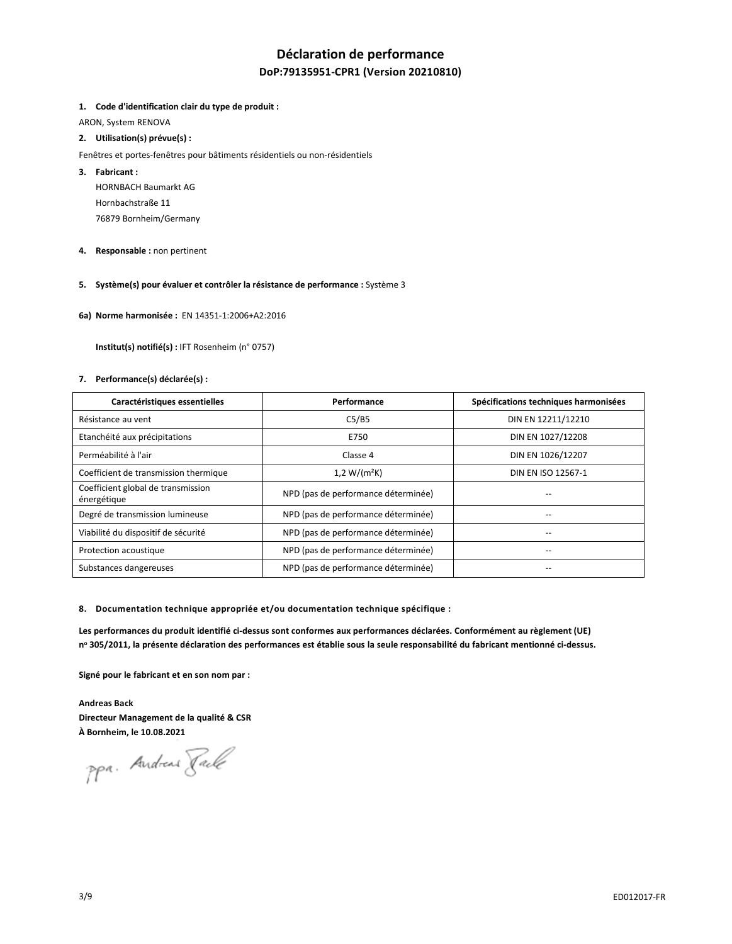# **Déclaration de performance**

## **DoP:79135951-CPR1 (Version 20210810)**

### **1. Code d'identification clair du type de produit :**

ARON, System RENOVA

## **2. Utilisation(s) prévue(s) :**

- Fenêtres et portes-fenêtres pour bâtiments résidentiels ou non-résidentiels
- **3. Fabricant :** 
	- HORNBACH Baumarkt AG Hornbachstraße 11 76879 Bornheim/Germany
- **4. Responsable :** non pertinent
- **5. Système(s) pour évaluer et contrôler la résistance de performance :** Système 3
- **6a) Norme harmonisée :** EN 14351-1:2006+A2:2016

 **Institut(s) notifié(s) :** IFT Rosenheim (n° 0757)

### **7. Performance(s) déclarée(s) :**

| Caractéristiques essentielles                     | Performance                         | Spécifications techniques harmonisées |
|---------------------------------------------------|-------------------------------------|---------------------------------------|
| Résistance au vent                                | C5/B5                               | DIN EN 12211/12210                    |
| Etanchéité aux précipitations                     | E750                                | DIN EN 1027/12208                     |
| Perméabilité à l'air                              | Classe 4                            | DIN EN 1026/12207                     |
| Coefficient de transmission thermique             | $1,2 W/(m^2K)$                      | DIN EN ISO 12567-1                    |
| Coefficient global de transmission<br>énergétique | NPD (pas de performance déterminée) |                                       |
| Degré de transmission lumineuse                   | NPD (pas de performance déterminée) |                                       |
| Viabilité du dispositif de sécurité               | NPD (pas de performance déterminée) |                                       |
| Protection acoustique                             | NPD (pas de performance déterminée) |                                       |
| Substances dangereuses                            | NPD (pas de performance déterminée) | --                                    |

**8. Documentation technique appropriée et/ou documentation technique spécifique :** 

**Les performances du produit identifié ci-dessus sont conformes aux performances déclarées. Conformément au règlement (UE) n o 305/2011, la présente déclaration des performances est établie sous la seule responsabilité du fabricant mentionné ci-dessus.** 

**Signé pour le fabricant et en son nom par :** 

**Andreas Back Directeur Management de la qualité & CSR À Bornheim, le 10.08.2021** 

ppa. Andreas Pack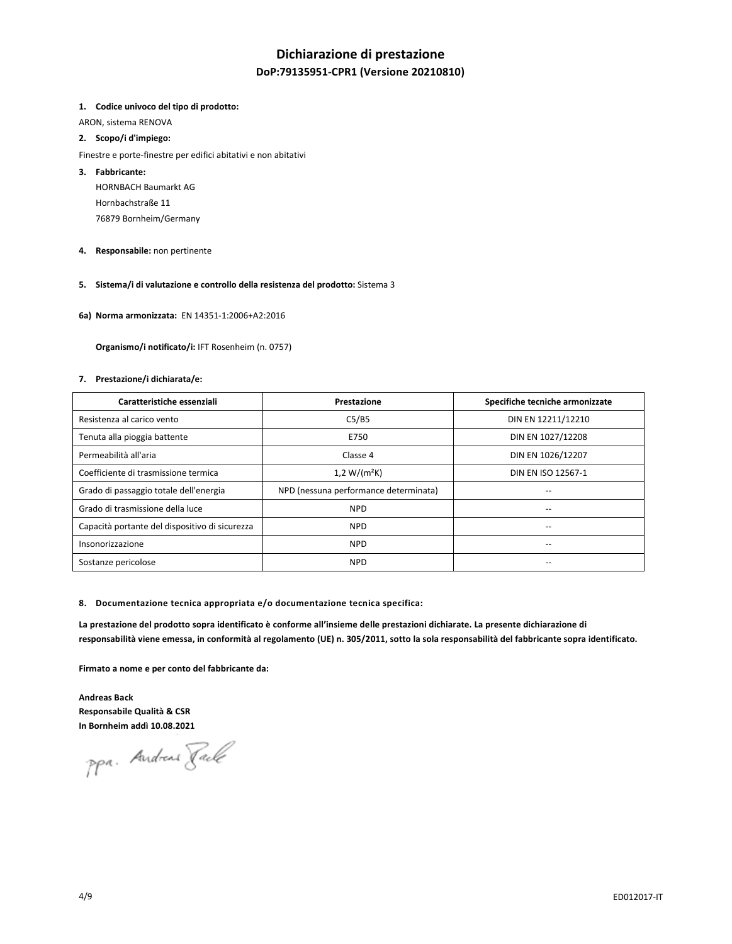# **Dichiarazione di prestazione**

## **DoP:79135951-CPR1 (Versione 20210810)**

#### **1. Codice univoco del tipo di prodotto:**

ARON, sistema RENOVA

## **2. Scopo/i d'impiego:**

Finestre e porte-finestre per edifici abitativi e non abitativi

## **3. Fabbricante:**

HORNBACH Baumarkt AG Hornbachstraße 11 76879 Bornheim/Germany

**4. Responsabile:** non pertinente

## **5. Sistema/i di valutazione e controllo della resistenza del prodotto:** Sistema 3

**6a) Norma armonizzata:** EN 14351-1:2006+A2:2016

 **Organismo/i notificato/i:** IFT Rosenheim (n. 0757)

#### **7. Prestazione/i dichiarata/e:**

| Caratteristiche essenziali                     | Prestazione                           | Specifiche tecniche armonizzate |
|------------------------------------------------|---------------------------------------|---------------------------------|
| Resistenza al carico vento                     | C5/B5                                 | DIN EN 12211/12210              |
| Tenuta alla pioggia battente                   | E750                                  | DIN EN 1027/12208               |
| Permeabilità all'aria                          | Classe 4                              | DIN EN 1026/12207               |
| Coefficiente di trasmissione termica           | $1,2 W/(m^2K)$                        | DIN EN ISO 12567-1              |
| Grado di passaggio totale dell'energia         | NPD (nessuna performance determinata) |                                 |
| Grado di trasmissione della luce               | <b>NPD</b>                            | --                              |
| Capacità portante del dispositivo di sicurezza | <b>NPD</b>                            | --                              |
| Insonorizzazione                               | <b>NPD</b>                            |                                 |
| Sostanze pericolose                            | <b>NPD</b>                            |                                 |

#### **8. Documentazione tecnica appropriata e/o documentazione tecnica specifica:**

**La prestazione del prodotto sopra identificato è conforme all'insieme delle prestazioni dichiarate. La presente dichiarazione di responsabilità viene emessa, in conformità al regolamento (UE) n. 305/2011, sotto la sola responsabilità del fabbricante sopra identificato.** 

**Firmato a nome e per conto del fabbricante da:** 

**Andreas Back Responsabile Qualità & CSR In Bornheim addì 10.08.2021** 

ppa. Andreas Fack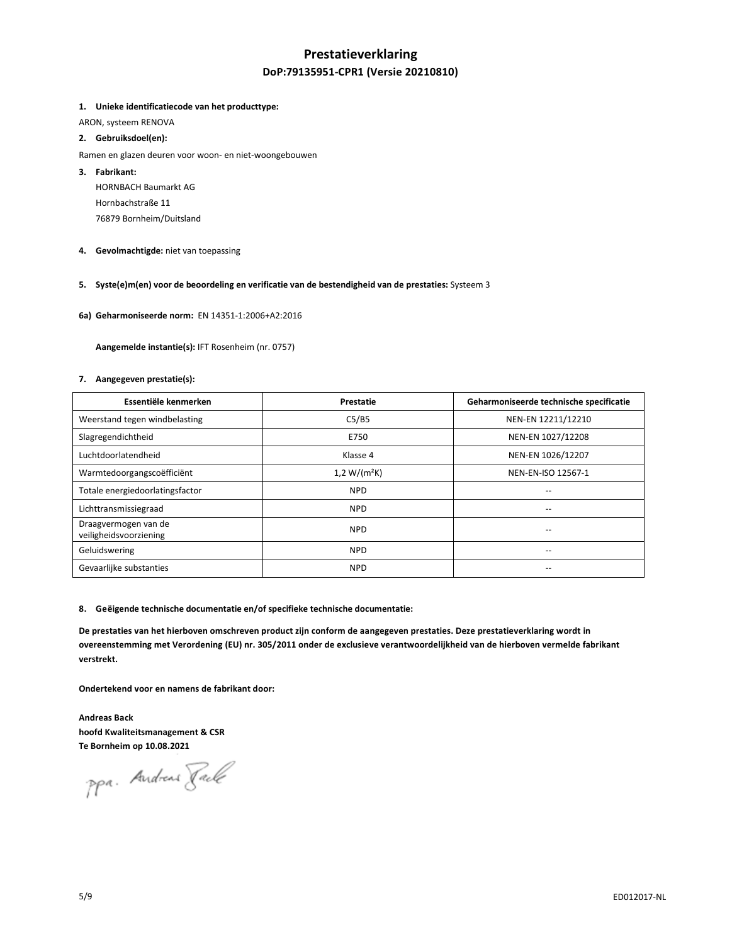# **Prestatieverklaring DoP:79135951-CPR1 (Versie 20210810)**

## **1. Unieke identificatiecode van het producttype:**

ARON, systeem RENOVA

## **2. Gebruiksdoel(en):**

- Ramen en glazen deuren voor woon- en niet-woongebouwen
- **3. Fabrikant:**

HORNBACH Baumarkt AG Hornbachstraße 11 76879 Bornheim/Duitsland

**4. Gevolmachtigde:** niet van toepassing

## **5. Syste(e)m(en) voor de beoordeling en verificatie van de bestendigheid van de prestaties:** Systeem 3

**6a) Geharmoniseerde norm:** EN 14351-1:2006+A2:2016

 **Aangemelde instantie(s):** IFT Rosenheim (nr. 0757)

#### **7. Aangegeven prestatie(s):**

| Essentiële kenmerken                           | Prestatie      | Geharmoniseerde technische specificatie |
|------------------------------------------------|----------------|-----------------------------------------|
| Weerstand tegen windbelasting                  | C5/B5          | NEN-EN 12211/12210                      |
| Slagregendichtheid                             | E750           | NEN-EN 1027/12208                       |
| Luchtdoorlatendheid                            | Klasse 4       | NEN-EN 1026/12207                       |
| Warmtedoorgangscoëfficiënt                     | $1,2 W/(m^2K)$ | NEN-EN-ISO 12567-1                      |
| Totale energiedoorlatingsfactor                | <b>NPD</b>     | --                                      |
| Lichttransmissiegraad                          | <b>NPD</b>     | --                                      |
| Draagvermogen van de<br>veiligheidsvoorziening | <b>NPD</b>     |                                         |
| Geluidswering                                  | <b>NPD</b>     | --                                      |
| Gevaarlijke substanties                        | <b>NPD</b>     |                                         |

#### **8. Geëigende technische documentatie en/of specifieke technische documentatie:**

**De prestaties van het hierboven omschreven product zijn conform de aangegeven prestaties. Deze prestatieverklaring wordt in overeenstemming met Verordening (EU) nr. 305/2011 onder de exclusieve verantwoordelijkheid van de hierboven vermelde fabrikant verstrekt.** 

**Ondertekend voor en namens de fabrikant door:** 

**Andreas Back hoofd Kwaliteitsmanagement & CSR Te Bornheim op 10.08.2021** 

ppa. Andreas Fack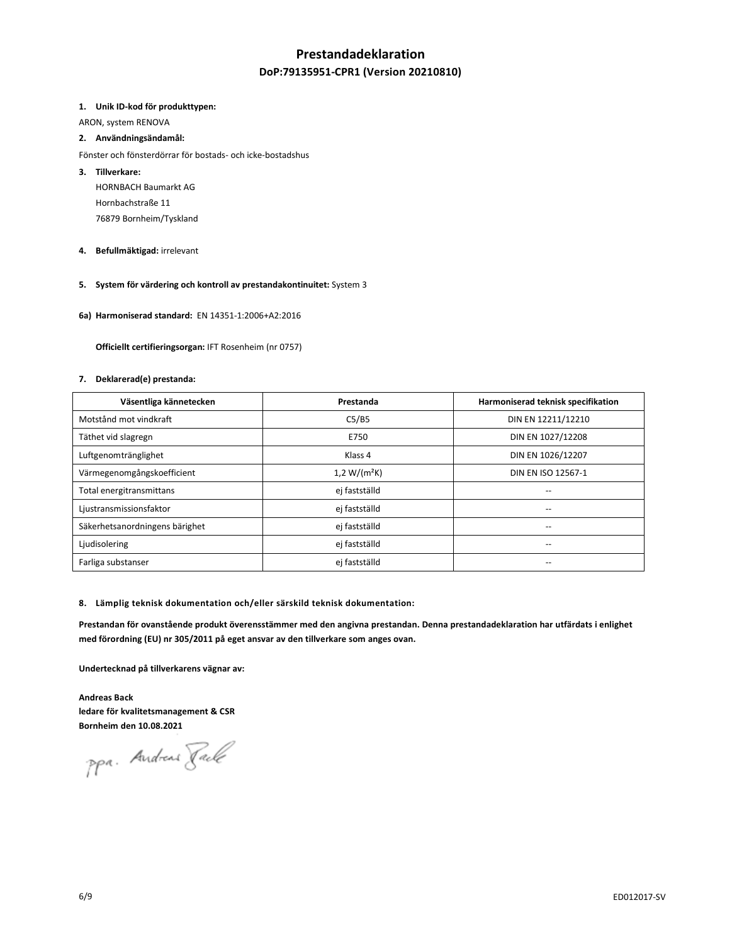## **Prestandadeklaration**

## **DoP:79135951-CPR1 (Version 20210810)**

### **1. Unik ID-kod för produkttypen:**

ARON, system RENOVA

## **2. Användningsändamål:**

- Fönster och fönsterdörrar för bostads- och icke-bostadshus
- **3. Tillverkare:** 
	- HORNBACH Baumarkt AG Hornbachstraße 11 76879 Bornheim/Tyskland
- **4. Befullmäktigad:** irrelevant
- **5. System för värdering och kontroll av prestandakontinuitet:** System 3
- **6a) Harmoniserad standard:** EN 14351-1:2006+A2:2016

 **Officiellt certifieringsorgan:** IFT Rosenheim (nr 0757)

#### **7. Deklarerad(e) prestanda:**

| Väsentliga kännetecken         | Prestanda      | Harmoniserad teknisk specifikation |
|--------------------------------|----------------|------------------------------------|
| Motstånd mot vindkraft         | C5/B5          | DIN EN 12211/12210                 |
| Täthet vid slagregn            | E750           | DIN EN 1027/12208                  |
| Luftgenomtränglighet           | Klass 4        | DIN EN 1026/12207                  |
| Värmegenomgångskoefficient     | $1,2 W/(m^2K)$ | DIN EN ISO 12567-1                 |
| Total energitransmittans       | ej fastställd  | --                                 |
| Ljustransmissionsfaktor        | ej fastställd  |                                    |
| Säkerhetsanordningens bärighet | ej fastställd  | --                                 |
| Ljudisolering                  | ej fastställd  | $\overline{\phantom{a}}$           |
| Farliga substanser             | ej fastställd  | $\overline{\phantom{a}}$           |

#### **8. Lämplig teknisk dokumentation och/eller särskild teknisk dokumentation:**

**Prestandan för ovanstående produkt överensstämmer med den angivna prestandan. Denna prestandadeklaration har utfärdats i enlighet med förordning (EU) nr 305/2011 på eget ansvar av den tillverkare som anges ovan.** 

**Undertecknad på tillverkarens vägnar av:** 

**Andreas Back ledare för kvalitetsmanagement & CSR Bornheim den 10.08.2021** 

ppa. Andreas Fack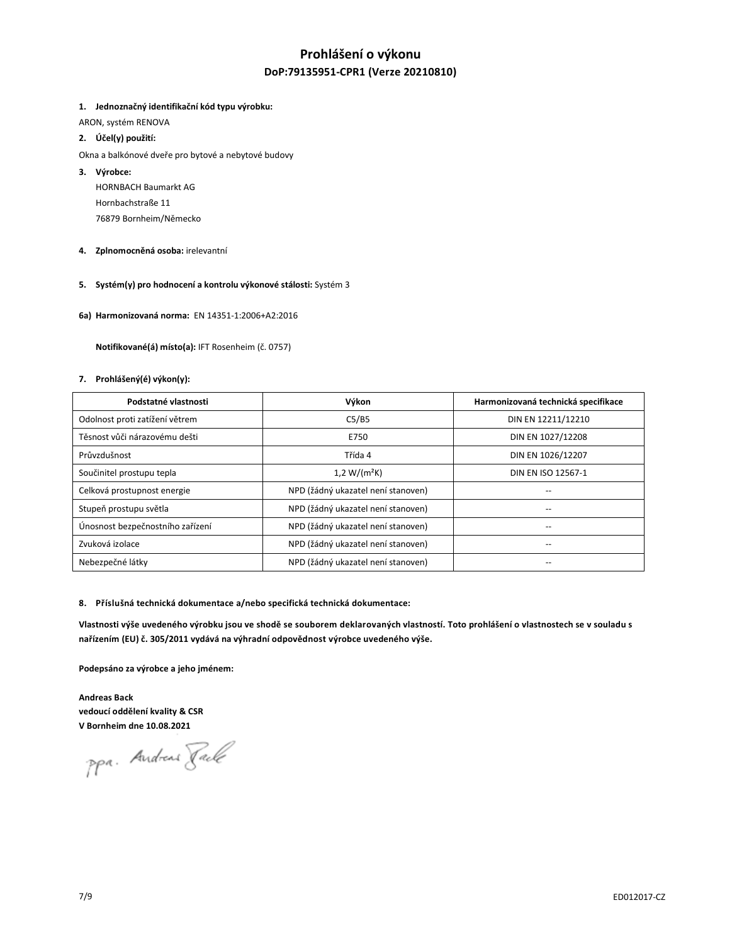# **Prohlášení o výkonu DoP:79135951-CPR1 (Verze 20210810)**

## **1. Jednoznačný identifikační kód typu výrobku:**

ARON, systém RENOVA

- **2. Účel(y) použití:**
- Okna a balkónové dveře pro bytové a nebytové budovy
- **3. Výrobce:** 
	- HORNBACH Baumarkt AG Hornbachstraße 11 76879 Bornheim/Německo
- **4. Zplnomocněná osoba:** irelevantní
- **5. Systém(y) pro hodnocení a kontrolu výkonové stálosti:** Systém 3
- **6a) Harmonizovaná norma:** EN 14351-1:2006+A2:2016

 **Notifikované(á) místo(a):** IFT Rosenheim (č. 0757)

### **7. Prohlášený(é) výkon(y):**

| Podstatné vlastnosti             | Výkon                              | Harmonizovaná technická specifikace |
|----------------------------------|------------------------------------|-------------------------------------|
| Odolnost proti zatížení větrem   | C5/B5                              | DIN EN 12211/12210                  |
| Těsnost vůči nárazovému dešti    | E750                               | DIN EN 1027/12208                   |
| Průvzdušnost                     | Třída 4                            | DIN EN 1026/12207                   |
| Součinitel prostupu tepla        | $1,2 W/(m^2K)$                     | DIN EN ISO 12567-1                  |
| Celková prostupnost energie      | NPD (žádný ukazatel není stanoven) |                                     |
| Stupeň prostupu světla           | NPD (žádný ukazatel není stanoven) |                                     |
| Únosnost bezpečnostního zařízení | NPD (žádný ukazatel není stanoven) | --                                  |
| Zvuková izolace                  | NPD (žádný ukazatel není stanoven) | --                                  |
| Nebezpečné látky                 | NPD (žádný ukazatel není stanoven) |                                     |

#### **8. Příslušná technická dokumentace a/nebo specifická technická dokumentace:**

Vlastnosti výše uvedeného výrobku jsou ve shodě se souborem deklarovaných vlastností. Toto prohlášení o vlastnostech se v souladu s **nařízením (EU) č. 305/2011 vydává na výhradní odpovědnost výrobce uvedeného výše.**

**Podepsáno za výrobce a jeho jménem:** 

**Andreas Back vedoucí oddělení kvality & CSR V Bornheim dne 10.08.2021** 

ppa. Andreas Faile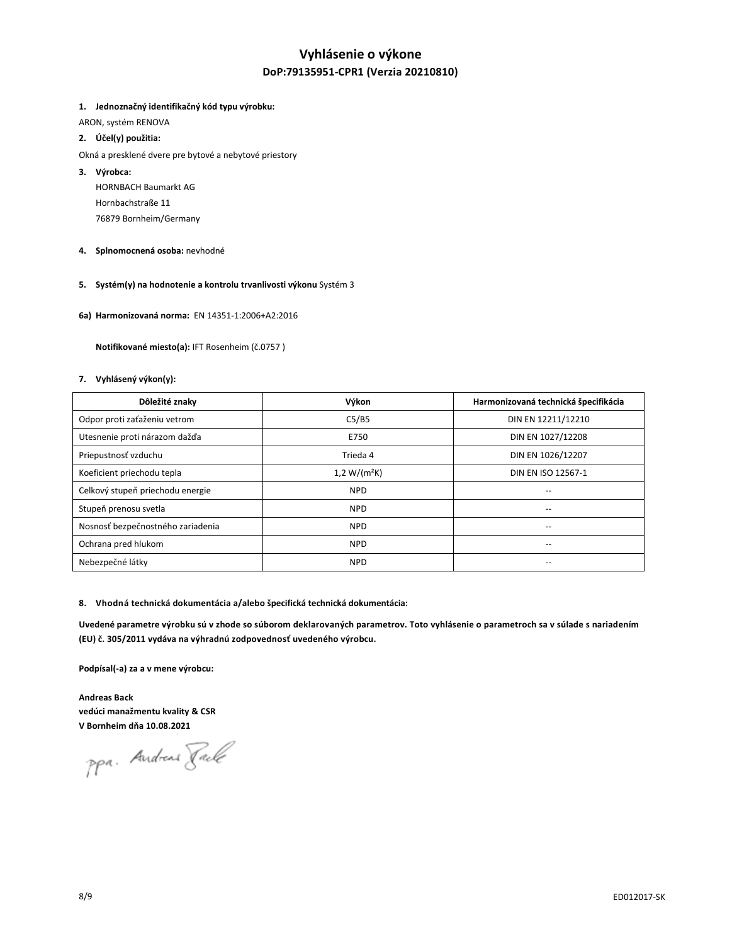# **Vyhlásenie o výkone DoP:79135951-CPR1 (Verzia 20210810)**

## **1. Jednoznačný identifikačný kód typu výrobku:**

ARON, systém RENOVA

## **2. Účel(y) použitia:**

- Okná a presklené dvere pre bytové a nebytové priestory
- **3. Výrobca:** 
	- HORNBACH Baumarkt AG Hornbachstraße 11 76879 Bornheim/Germany
- **4. Splnomocnená osoba:** nevhodné
- **5. Systém(y) na hodnotenie a kontrolu trvanlivosti výkonu** Systém 3
- **6a) Harmonizovaná norma:** EN 14351-1:2006+A2:2016

 **Notifikované miesto(a):** IFT Rosenheim (č.0757 )

### **7. Vyhlásený výkon(y):**

| Dôležité znaky                    | Výkon          | Harmonizovaná technická špecifikácia  |
|-----------------------------------|----------------|---------------------------------------|
| Odpor proti zaťaženiu vetrom      | C5/B5          | DIN EN 12211/12210                    |
| Utesnenie proti nárazom dažďa     | E750           | DIN EN 1027/12208                     |
| Priepustnosť vzduchu              | Trieda 4       | DIN EN 1026/12207                     |
| Koeficient priechodu tepla        | $1,2 W/(m^2K)$ | DIN EN ISO 12567-1                    |
| Celkový stupeň priechodu energie  | <b>NPD</b>     | --                                    |
| Stupeň prenosu svetla             | <b>NPD</b>     |                                       |
| Nosnosť bezpečnostného zariadenia | <b>NPD</b>     | $\hspace{0.05cm}$ – $\hspace{0.05cm}$ |
| Ochrana pred hlukom               | <b>NPD</b>     | --                                    |
| Nebezpečné látky                  | <b>NPD</b>     |                                       |

#### **8. Vhodná technická dokumentácia a/alebo špecifická technická dokumentácia:**

**Uvedené parametre výrobku sú v zhode so súborom deklarovaných parametrov. Toto vyhlásenie o parametroch sa v súlade s nariadením (EU) č. 305/2011 vydáva na výhradnú zodpovednosť uvedeného výrobcu.**

**Podpísal(-a) za a v mene výrobcu:** 

**Andreas Back vedúci manažmentu kvality & CSR V Bornheim dňa 10.08.2021**

ppa. Andreas Fack